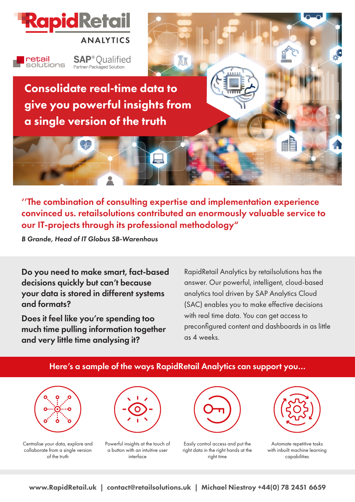

**SAP**<sup>®</sup> Qualified retail solutions Partner-Packaged Solution

Consolidate real-time data to give you powerful insights from a single version of the truth

''The combination of consulting expertise and implementation experience convinced us. retailsolutions contributed an enormously valuable service to our IT-projects through its professional methodology"

A1

*B Grande, Head of IT Globus SB-Warenhaus*

Do you need to make smart, fact-based decisions quickly but can't because your data is stored in different systems and formats?

Does it feel like you're spending too much time pulling information together and very little time analysing it?

RapidRetail Analytics by retailsolutions has the answer. Our powerful, intelligent, cloud-based analytics tool driven by SAP Analytics Cloud (SAC) enables you to make effective decisions with real time data. You can get access to preconfigured content and dashboards in as little as 4 weeks.



www.RapidRetail.uk | contact@retailsolutions.uk | Michael Niestroy +44(0) 78 2451 6659